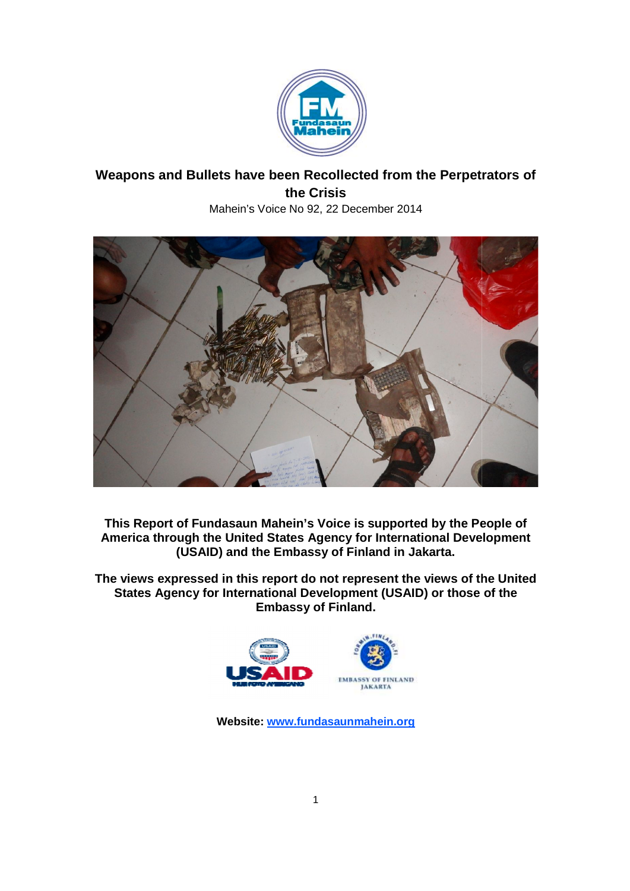

# Weapons and Bullets have been Recollected from the Perpetrators of Mahein's Voice No 92, 22 December 2014 **the Crisis**



**This Report of Fundasaun Mahein's Voice is supported by the People of**  This Report of Fundasaun Mahein's Voice is supported by the People of **America through the United States Agency** for International Development **(USAID) and the Embassy of Finland in Jakarta. Voice through the United States Agency<br>
(USAID) and the Embassy of F<br>
expressed in this report do not re<br>
Agency for International Developn** 

**The views expressed in this report do not represent the views of the United States Agency for International Development (USAID) or those of the of Finland in<br>this report do not represent<br>ternational Development (US<br>Embassy of Finland.** 



**Website: www.fundasaunmahein.org**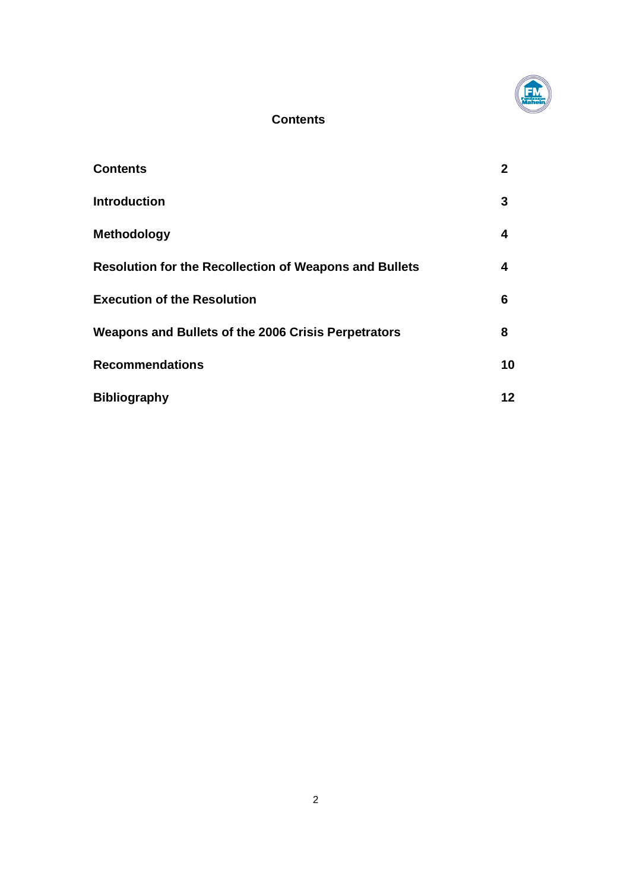

# **Contents**

| <b>Contents</b>                                               | 2  |
|---------------------------------------------------------------|----|
| <b>Introduction</b>                                           | 3  |
| <b>Methodology</b>                                            | 4  |
| <b>Resolution for the Recollection of Weapons and Bullets</b> | 4  |
| <b>Execution of the Resolution</b>                            | 6  |
| Weapons and Bullets of the 2006 Crisis Perpetrators           | 8  |
| <b>Recommendations</b>                                        | 10 |
| <b>Bibliography</b>                                           | 12 |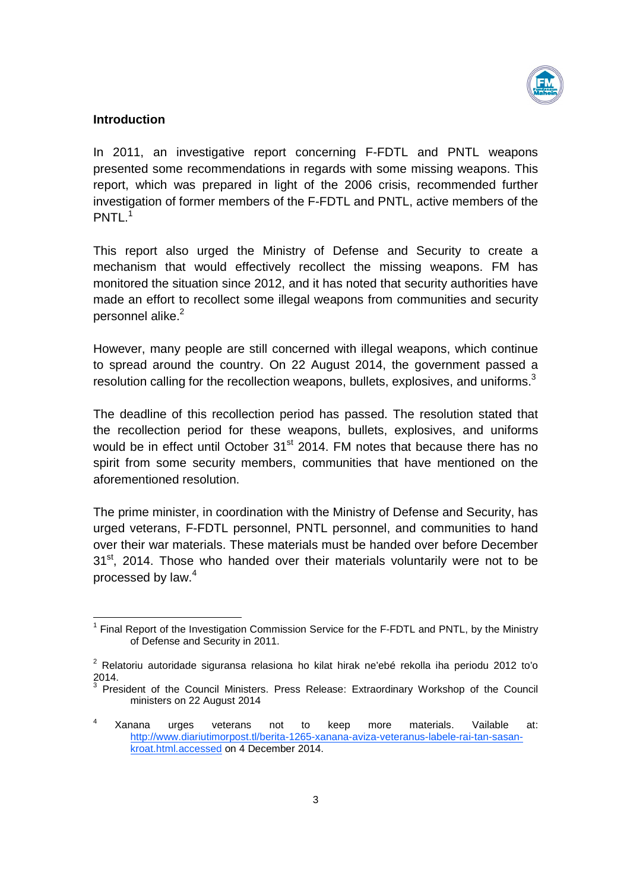

## **Introduction**

In 2011, an investigative report concerning F-FDTL and PNTL weapons presented some recommendations in regards with some missing weapons. This report, which was prepared in light of the 2006 crisis, recommended further investigation of former members of the F-FDTL and PNTL, active members of the PNTL. 1

This report also urged the Ministry of Defense and Security to create a mechanism that would effectively recollect the missing weapons. FM has monitored the situation since 2012, and it has noted that security authorities have made an effort to recollect some illegal weapons from communities and security personnel alike. 2

However, many people are still concerned with illegal weapons, which continue to spread around the country. On 22 August 2014, the government passed a resolution calling for the recollection weapons, bullets, explosives, and uniforms.<sup>3</sup>

The deadline of this recollection period has passed. The resolution stated that the recollection period for these weapons, bullets, explosives, and uniforms would be in effect until October 31<sup>st</sup> 2014. FM notes that because there has no spirit from some security members, communities that have mentioned on the aforementioned resolution.

The prime minister, in coordination with the Ministry of Defense and Security, has urged veterans, F-FDTL personnel, PNTL personnel, and communities to hand over their war materials. These materials must be handed over before December 31<sup>st</sup>, 2014. Those who handed over their materials voluntarily were not to be processed by law.<sup>4</sup>

 $1$  Final Report of the Investigation Commission Service for the F-FDTL and PNTL, by the Ministry of Defense and Security in 2011.

 $2$  Relatoriu autoridade siguransa relasiona ho kilat hirak ne'ebé rekolla iha periodu 2012 to'o 2014.

<sup>3</sup> President of the Council Ministers. Press Release: Extraordinary Workshop of the Council ministers on 22 August 2014

 $4$  Xanana urges veterans not to keep more materials. Vailable at: http://www.diariutimorpost.tl/berita-1265-xanana-aviza-veteranus-labele-rai-tan-sasankroat.html.accessed on 4 December 2014.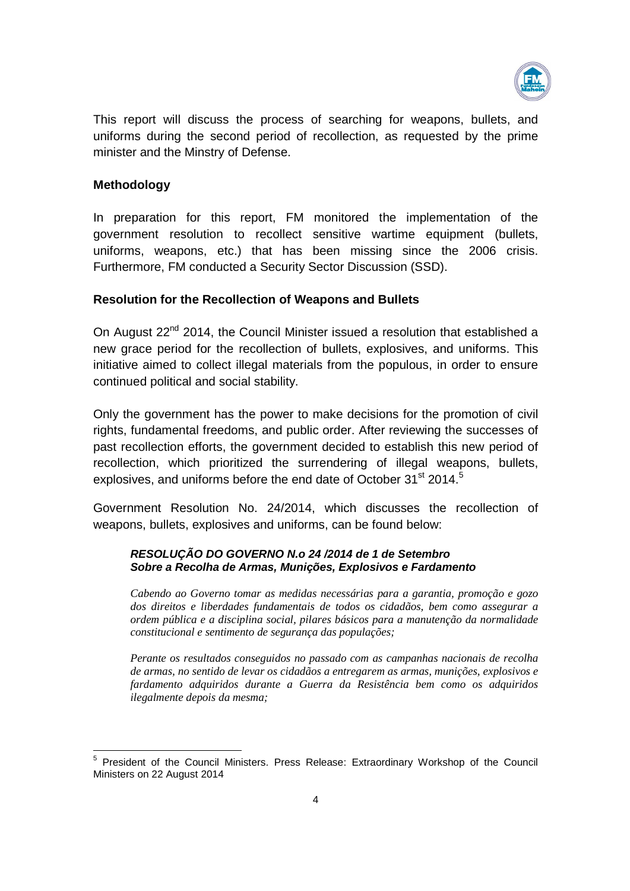

This report will discuss the process of searching for weapons, bullets, and uniforms during the second period of recollection, as requested by the prime minister and the Minstry of Defense.

# **Methodology**

In preparation for this report, FM monitored the implementation of the government resolution to recollect sensitive wartime equipment (bullets, uniforms, weapons, etc.) that has been missing since the 2006 crisis. Furthermore, FM conducted a Security Sector Discussion (SSD).

### **Resolution for the Recollection of Weapons and Bullets**

On August 22<sup>nd</sup> 2014, the Council Minister issued a resolution that established a new grace period for the recollection of bullets, explosives, and uniforms. This initiative aimed to collect illegal materials from the populous, in order to ensure continued political and social stability.

Only the government has the power to make decisions for the promotion of civil rights, fundamental freedoms, and public order. After reviewing the successes of past recollection efforts, the government decided to establish this new period of recollection, which prioritized the surrendering of illegal weapons, bullets, explosives, and uniforms before the end date of October 31<sup>st</sup> 2014.<sup>5</sup>

Government Resolution No. 24/2014, which discusses the recollection of weapons, bullets, explosives and uniforms, can be found below:

#### *RESOLUÇÃO DO GOVERNO N.o 24 /2014 de 1 de Setembro Sobre a Recolha de Armas, Munições, Explosivos e Fardamento*

*Cabendo ao Governo tomar as medidas necessárias para a garantia, promoção e gozo dos direitos e liberdades fundamentais de todos os cidadãos, bem como assegurar a ordem pública e a disciplina social, pilares básicos para a manutenção da normalidade constitucional e sentimento de segurança das populações;*

*Perante os resultados conseguidos no passado com as campanhas nacionais de recolha de armas, no sentido de levar os cidadãos a entregarem as armas, munições, explosivos e fardamento adquiridos durante a Guerra da Resistência bem como os adquiridos ilegalmente depois da mesma;*

<sup>5</sup> President of the Council Ministers. Press Release: Extraordinary Workshop of the Council Ministers on 22 August 2014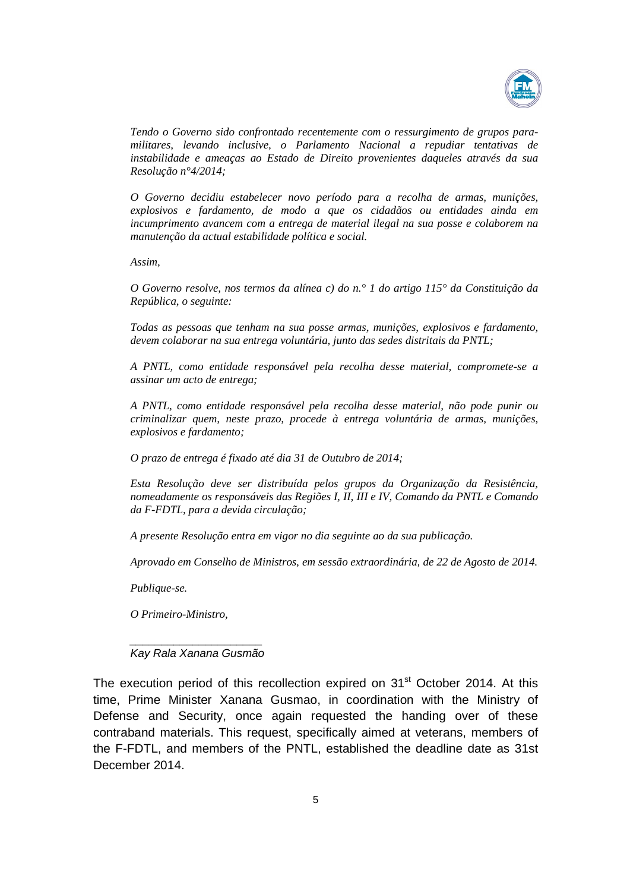

*Tendo o Governo sido confrontado recentemente com o ressurgimento de grupos paramilitares, levando inclusive, o Parlamento Nacional a repudiar tentativas de instabilidade e ameaças ao Estado de Direito provenientes daqueles através da sua Resolução n°4/2014;*

*O Governo decidiu estabelecer novo período para a recolha de armas, munições, explosivos e fardamento, de modo a que os cidadãos ou entidades ainda em incumprimento avancem com a entrega de material ilegal na sua posse e colaborem na manutenção da actual estabilidade política e social.*

*Assim,*

*O Governo resolve, nos termos da alínea c) do n.° 1 do artigo 115° da Constituição da República, o seguinte:*

*Todas as pessoas que tenham na sua posse armas, munições, explosivos e fardamento, devem colaborar na sua entrega voluntária, junto das sedes distritais da PNTL;*

*A PNTL, como entidade responsável pela recolha desse material, compromete-se a assinar um acto de entrega;*

*A PNTL, como entidade responsável pela recolha desse material, não pode punir ou criminalizar quem, neste prazo, procede à entrega voluntária de armas, munições, explosivos e fardamento;*

*O prazo de entrega é fixado até dia 31 de Outubro de 2014;*

*Esta Resolução deve ser distribuída pelos grupos da Organização da Resistência, nomeadamente os responsáveis das Regiões I, II, III e IV, Comando da PNTL e Comando da F-FDTL, para a devida circulação;*

*A presente Resolução entra em vigor no dia seguinte ao da sua publicação.*

*Aprovado em Conselho de Ministros, em sessão extraordinária, de 22 de Agosto de 2014.*

*Publique-se.*

*O Primeiro-Ministro,*

*\_\_\_\_\_\_\_\_\_\_\_\_\_\_\_\_\_\_\_\_\_ Kay Rala Xanana Gusmão*

The execution period of this recollection expired on 31<sup>st</sup> October 2014. At this time, Prime Minister Xanana Gusmao, in coordination with the Ministry of Defense and Security, once again requested the handing over of these contraband materials. This request, specifically aimed at veterans, members of the F-FDTL, and members of the PNTL, established the deadline date as 31st December 2014.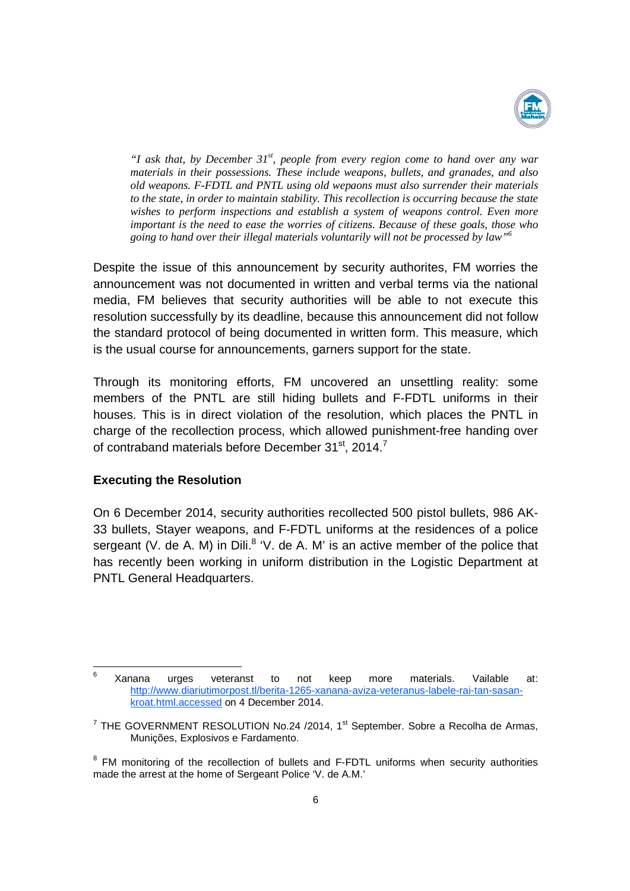

*"I ask that, by December 31st , people from every region come to hand over any war materials in their possessions. These include weapons, bullets, and granades, and also old weapons. F-FDTL and PNTL using old wepaons must also surrender their materials to the state, in order to maintain stability. This recollection is occurring because the state wishes to perform inspections and establish a system of weapons control. Even more important is the need to ease the worries of citizens. Because of these goals, those who going to hand over their illegal materials voluntarily will not be processed by law"6*

Despite the issue of this announcement by security authorites, FM worries the announcement was not documented in written and verbal terms via the national media, FM believes that security authorities will be able to not execute this resolution successfully by its deadline, because this announcement did not follow the standard protocol of being documented in written form. This measure, which is the usual course for announcements, garners support for the state.

Through its monitoring efforts, FM uncovered an unsettling reality: some members of the PNTL are still hiding bullets and F-FDTL uniforms in their houses. This is in direct violation of the resolution, which places the PNTL in charge of the recollection process, which allowed punishment-free handing over of contraband materials before December 31<sup>st</sup>, 2014.<sup>7</sup>

### **Executing the Resolution**

On 6 December 2014, security authorities recollected 500 pistol bullets, 986 AK-33 bullets, Stayer weapons, and F-FDTL uniforms at the residences of a police sergeant (V. de A. M) in Dili. $8$  'V. de A. M' is an active member of the police that has recently been working in uniform distribution in the Logistic Department at PNTL General Headquarters.

<sup>6</sup> Xanana urges veteranst to not keep more materials. Vailable at: http://www.diariutimorpost.tl/berita-1265-xanana-aviza-veteranus-labele-rai-tan-sasankroat.html.accessed on 4 December 2014.

 $7$  THE GOVERNMENT RESOLUTION No.24 /2014, 1<sup>st</sup> September. Sobre a Recolha de Armas, Munições, Explosivos e Fardamento.

<sup>&</sup>lt;sup>8</sup> FM monitoring of the recollection of bullets and F-FDTL uniforms when security authorities made the arrest at the home of Sergeant Police 'V. de A.M.'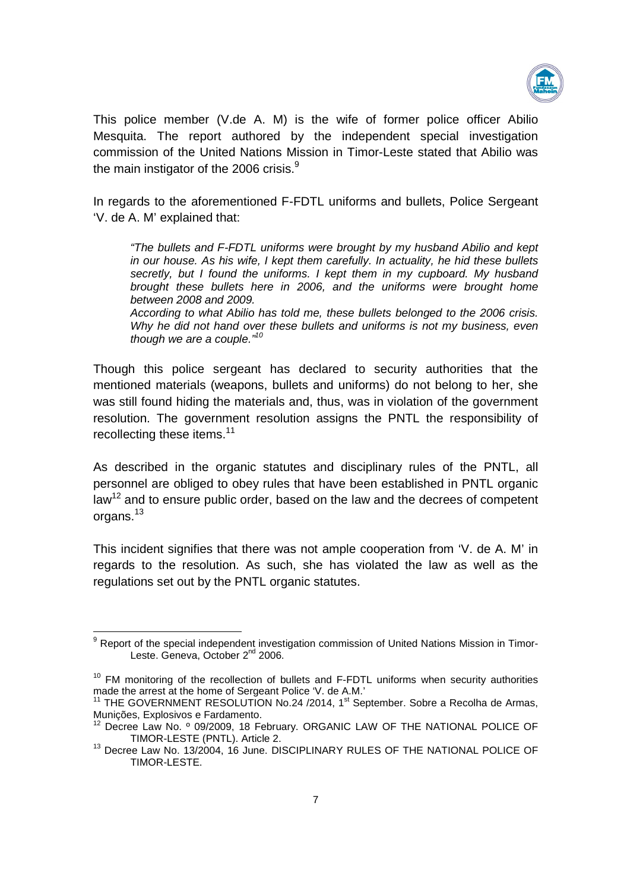

This police member (V.de A. M) is the wife of former police officer Abilio Mesquita. The report authored by the independent special investigation commission of the United Nations Mission in Timor-Leste stated that Abilio was the main instigator of the 2006 crisis. $9$ 

In regards to the aforementioned F-FDTL uniforms and bullets, Police Sergeant 'V. de A. M' explained that:

*"The bullets and F-FDTL uniforms were brought by my husband Abilio and kept in our house. As his wife, I kept them carefully. In actuality, he hid these bullets secretly, but I found the uniforms. I kept them in my cupboard. My husband brought these bullets here in 2006, and the uniforms were brought home between 2008 and 2009.*

*According to what Abilio has told me, these bullets belonged to the 2006 crisis. Why he did not hand over these bullets and uniforms is not my business, even though we are a couple." 10*

Though this police sergeant has declared to security authorities that the mentioned materials (weapons, bullets and uniforms) do not belong to her, she was still found hiding the materials and, thus, was in violation of the government resolution. The government resolution assigns the PNTL the responsibility of recollecting these items.<sup>11</sup>

As described in the organic statutes and disciplinary rules of the PNTL, all personnel are obliged to obey rules that have been established in PNTL organic law<sup>12</sup> and to ensure public order, based on the law and the decrees of competent organs.<sup>13</sup>

This incident signifies that there was not ample cooperation from 'V. de A. M' in regards to the resolution. As such, she has violated the law as well as the regulations set out by the PNTL organic statutes.

<sup>&</sup>lt;sup>9</sup> Report of the special independent investigation commission of United Nations Mission in Timor-Leste. Geneva, October 2<sup>nd</sup> 2006.

 $10$  FM monitoring of the recollection of bullets and F-FDTL uniforms when security authorities made the arrest at the home of Sergeant Police 'V. de A.M.'

<sup>&</sup>lt;sup>11</sup> THE GOVERNMENT RESOLUTION No.24 /2014,  $1<sup>st</sup>$  September. Sobre a Recolha de Armas, Munições, Explosivos e Fardamento.

<sup>&</sup>lt;sup>12</sup> Decree Law No. º 09/2009, 18 February. ORGANIC LAW OF THE NATIONAL POLICE OF TIMOR-LESTE (PNTL). Article 2.<br><sup>13</sup> Decree Law No. 13/2004, 16 June. DISCIPLINARY RULES OF THE NATIONAL POLICE OF

TIMOR-LESTE.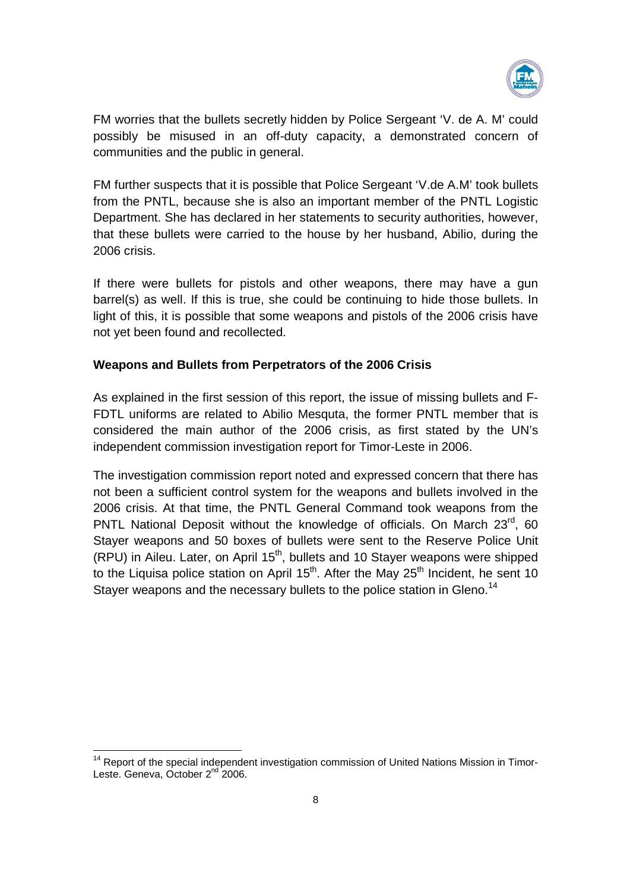

FM worries that the bullets secretly hidden by Police Sergeant 'V. de A. M' could possibly be misused in an off-duty capacity, a demonstrated concern of communities and the public in general.

FM further suspects that it is possible that Police Sergeant 'V.de A.M' took bullets from the PNTL, because she is also an important member of the PNTL Logistic Department. She has declared in her statements to security authorities, however, that these bullets were carried to the house by her husband, Abilio, during the 2006 crisis.

If there were bullets for pistols and other weapons, there may have a gun barrel(s) as well. If this is true, she could be continuing to hide those bullets. In light of this, it is possible that some weapons and pistols of the 2006 crisis have not yet been found and recollected.

# **Weapons and Bullets from Perpetrators of the 2006 Crisis**

As explained in the first session of this report, the issue of missing bullets and F-FDTL uniforms are related to Abilio Mesquta, the former PNTL member that is considered the main author of the 2006 crisis, as first stated by the UN's independent commission investigation report for Timor-Leste in 2006.

The investigation commission report noted and expressed concern that there has not been a sufficient control system for the weapons and bullets involved in the 2006 crisis. At that time, the PNTL General Command took weapons from the PNTL National Deposit without the knowledge of officials. On March 23<sup>rd</sup>, 60 Stayer weapons and 50 boxes of bullets were sent to the Reserve Police Unit (RPU) in Aileu. Later, on April  $15<sup>th</sup>$ , bullets and 10 Stayer weapons were shipped to the Liquisa police station on April 15<sup>th</sup>. After the May  $25<sup>th</sup>$  Incident, he sent 10 Stayer weapons and the necessary bullets to the police station in Gleno.<sup>14</sup>

<sup>&</sup>lt;sup>14</sup> Report of the special independent investigation commission of United Nations Mission in Timor-Leste. Geneva, October 2<sup>nd</sup> 2006.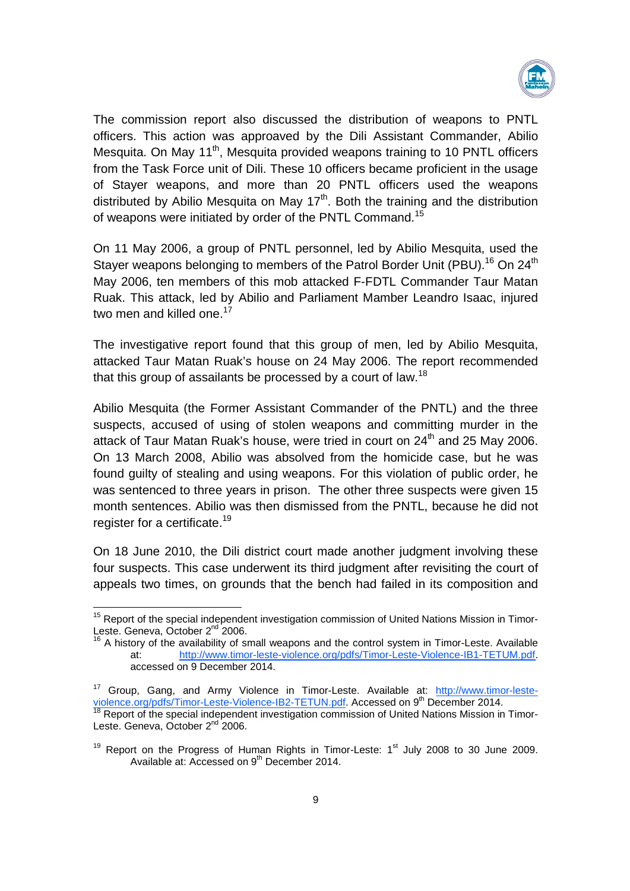

The commission report also discussed the distribution of weapons to PNTL officers. This action was approaved by the Dili Assistant Commander, Abilio Mesquita. On May 11<sup>th</sup>, Mesquita provided weapons training to 10 PNTL officers from the Task Force unit of Dili. These 10 officers became proficient in the usage of Stayer weapons, and more than 20 PNTL officers used the weapons distributed by Abilio Mesquita on May  $17<sup>th</sup>$ . Both the training and the distribution of weapons were initiated by order of the PNTL Command.<sup>15</sup>

On 11 May 2006, a group of PNTL personnel, led by Abilio Mesquita, used the Stayer weapons belonging to members of the Patrol Border Unit (PBU).<sup>16</sup> On 24<sup>th</sup> May 2006, ten members of this mob attacked F-FDTL Commander Taur Matan Ruak. This attack, led by Abilio and Parliament Mamber Leandro Isaac, injured two men and killed one.<sup>17</sup>

The investigative report found that this group of men, led by Abilio Mesquita, attacked Taur Matan Ruak's house on 24 May 2006. The report recommended that this group of assailants be processed by a court of law.<sup>18</sup>

Abilio Mesquita (the Former Assistant Commander of the PNTL) and the three suspects, accused of using of stolen weapons and committing murder in the attack of Taur Matan Ruak's house, were tried in court on  $24<sup>th</sup>$  and 25 May 2006. On 13 March 2008, Abilio was absolved from the homicide case, but he was found guilty of stealing and using weapons. For this violation of public order, he was sentenced to three years in prison. The other three suspects were given 15 month sentences. Abilio was then dismissed from the PNTL, because he did not register for a certificate.<sup>19</sup>

On 18 June 2010, the Dili district court made another judgment involving these four suspects. This case underwent its third judgment after revisiting the court of appeals two times, on grounds that the bench had failed in its composition and

<sup>&</sup>lt;sup>15</sup> Report of the special independent investigation commission of United Nations Mission in Timor-Leste. Geneva, October 2<sup>nd</sup> 2006.

<sup>16</sup> A history of the availability of small weapons and the control system in Timor-Leste. Available at: http://www.timor-leste-violence.org/pdfs/Timor-Leste-Violence-IB1-TETUM.pdf. accessed on 9 December 2014.

<sup>&</sup>lt;sup>17</sup> Group, Gang, and Army Violence in Timor-Leste. Available at: http://www.timor-lesteviolence.org/pdfs/Timor-Leste-Violence-IB2-TETUN.pdf. Accessed on 9<sup>th</sup> December 2014.

Report of the special independent investigation commission of United Nations Mission in Timor-Leste. Geneva, October 2<sup>nd</sup> 2006.

 $19$  Report on the Progress of Human Rights in Timor-Leste:  $1<sup>st</sup>$  July 2008 to 30 June 2009. Available at: Accessed on 9<sup>th</sup> December 2014.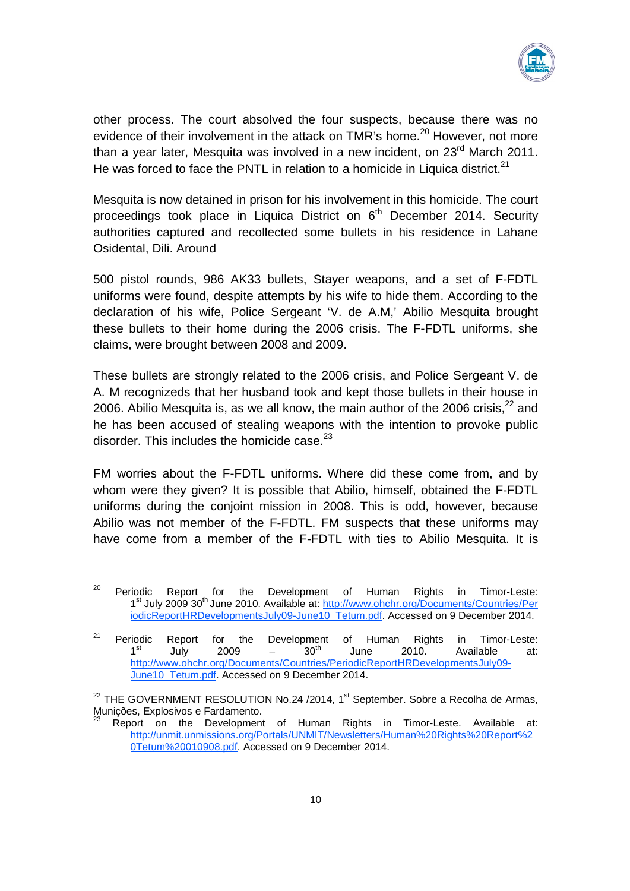

other process. The court absolved the four suspects, because there was no evidence of their involvement in the attack on TMR's home.<sup>20</sup> However, not more than a year later. Mesquita was involved in a new incident, on  $23<sup>rd</sup>$  March 2011. He was forced to face the PNTL in relation to a homicide in Liquica district.<sup>21</sup>

Mesquita is now detained in prison for his involvement in this homicide. The court proceedings took place in Liquica District on 6<sup>th</sup> December 2014. Security authorities captured and recollected some bullets in his residence in Lahane Osidental, Dili. Around

500 pistol rounds, 986 AK33 bullets, Stayer weapons, and a set of F-FDTL uniforms were found, despite attempts by his wife to hide them. According to the declaration of his wife, Police Sergeant 'V. de A.M,' Abilio Mesquita brought these bullets to their home during the 2006 crisis. The F-FDTL uniforms, she claims, were brought between 2008 and 2009.

These bullets are strongly related to the 2006 crisis, and Police Sergeant V. de A. M recognizeds that her husband took and kept those bullets in their house in 2006. Abilio Mesquita is, as we all know, the main author of the 2006 crisis,  $22$  and he has been accused of stealing weapons with the intention to provoke public disorder. This includes the homicide case.<sup>23</sup>

FM worries about the F-FDTL uniforms. Where did these come from, and by whom were they given? It is possible that Abilio, himself, obtained the F-FDTL uniforms during the conjoint mission in 2008. This is odd, however, because Abilio was not member of the F-FDTL. FM suspects that these uniforms may have come from a member of the F-FDTL with ties to Abilio Mesquita. It is

\_\_\_\_\_\_\_\_\_\_\_\_\_\_\_\_\_\_\_\_\_\_\_\_\_\_\_\_\_\_\_\_<br><sup>20</sup> Periodic Report for the Development of Human Rights in Timor-Leste: 1<sup>st</sup> July 2009 30<sup>th</sup> June 2010. Available at: http://www.ohchr.org/Documents/Countries/Per iodicReportHRDevelopmentsJuly09-June10\_Tetum.pdf. Accessed on 9 December 2014.

<sup>&</sup>lt;sup>21</sup> Periodic Report for the Development of Human Rights in Timor-Leste:  $1<sup>st</sup>$  July 2009 –  $30<sup>th</sup>$  June 2010. Available at: http://www.ohchr.org/Documents/Countries/PeriodicReportHRDevelopmentsJuly09- June10\_Tetum.pdf. Accessed on 9 December 2014.

<sup>&</sup>lt;sup>22</sup> THE GOVERNMENT RESOLUTION No.24 /2014,  $1<sup>st</sup>$  September. Sobre a Recolha de Armas, Munições, Explosivos e Fardamento.

Report on the Development of Human Rights in Timor-Leste. Available at: http://unmit.unmissions.org/Portals/UNMIT/Newsletters/Human%20Rights%20Report%2 0Tetum%20010908.pdf. Accessed on 9 December 2014.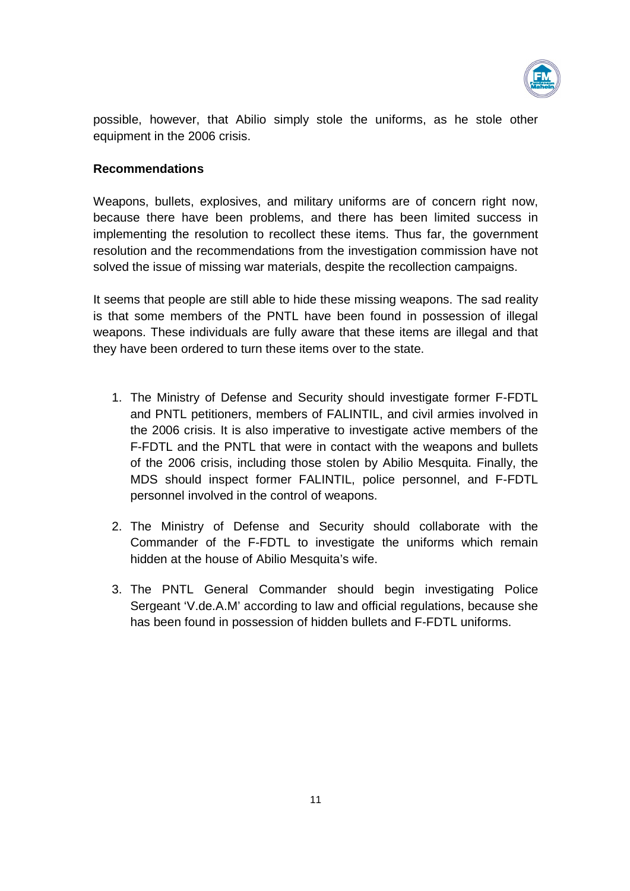

possible, however, that Abilio simply stole the uniforms, as he stole other equipment in the 2006 crisis.

## **Recommendations**

Weapons, bullets, explosives, and military uniforms are of concern right now, because there have been problems, and there has been limited success in implementing the resolution to recollect these items. Thus far, the government resolution and the recommendations from the investigation commission have not solved the issue of missing war materials, despite the recollection campaigns.

It seems that people are still able to hide these missing weapons. The sad reality is that some members of the PNTL have been found in possession of illegal weapons. These individuals are fully aware that these items are illegal and that they have been ordered to turn these items over to the state.

- 1. The Ministry of Defense and Security should investigate former F-FDTL and PNTL petitioners, members of FALINTIL, and civil armies involved in the 2006 crisis. It is also imperative to investigate active members of the F-FDTL and the PNTL that were in contact with the weapons and bullets of the 2006 crisis, including those stolen by Abilio Mesquita. Finally, the MDS should inspect former FALINTIL, police personnel, and F-FDTL personnel involved in the control of weapons.
- 2. The Ministry of Defense and Security should collaborate with the Commander of the F-FDTL to investigate the uniforms which remain hidden at the house of Abilio Mesquita's wife.
- 3. The PNTL General Commander should begin investigating Police Sergeant 'V.de.A.M' according to law and official regulations, because she has been found in possession of hidden bullets and F-FDTL uniforms.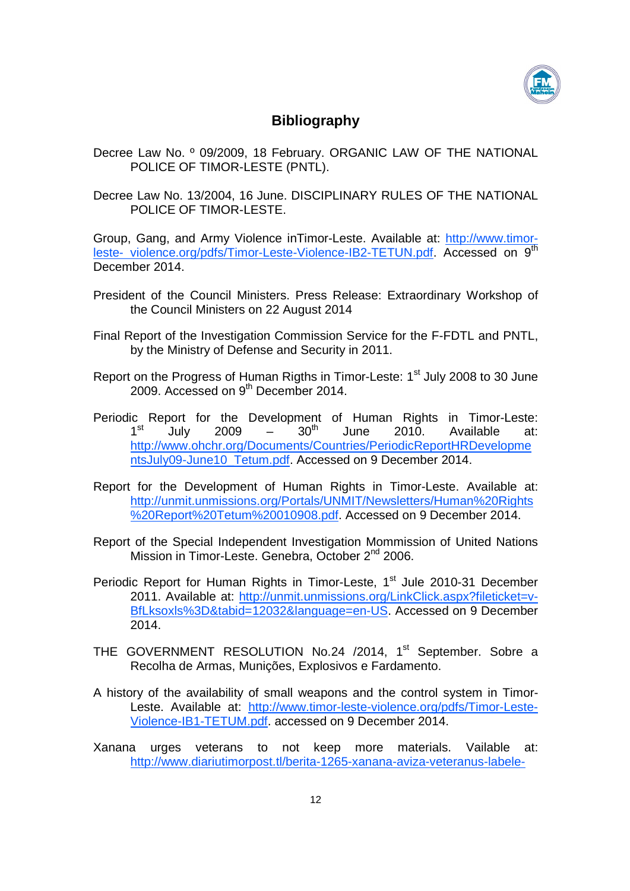

# **Bibliography**

- Decree Law No. º 09/2009, 18 February. ORGANIC LAW OF THE NATIONAL POLICE OF TIMOR-LESTE (PNTL).
- Decree Law No. 13/2004, 16 June. DISCIPLINARY RULES OF THE NATIONAL POLICE OF TIMOR-LESTE.

Group, Gang, and Army Violence inTimor-Leste. Available at: http://www.timorleste- violence.org/pdfs/Timor-Leste-Violence-IB2-TETUN.pdf. Accessed on 9th December 2014.

- President of the Council Ministers. Press Release: Extraordinary Workshop of the Council Ministers on 22 August 2014
- Final Report of the Investigation Commission Service for the F-FDTL and PNTL, by the Ministry of Defense and Security in 2011.
- Report on the Progress of Human Rigths in Timor-Leste: 1<sup>st</sup> July 2008 to 30 June 2009. Accessed on 9<sup>th</sup> December 2014.
- Periodic Report for the Development of Human Rights in Timor-Leste:<br>1<sup>st</sup> July 2009 30<sup>th</sup> June 2010 Available at:  $1<sup>st</sup>$  July 2009 –  $30<sup>th</sup>$  June 2010. Available at: http://www.ohchr.org/Documents/Countries/PeriodicReportHRDevelopme ntsJuly09-June10\_Tetum.pdf. Accessed on 9 December 2014.
- Report for the Development of Human Rights in Timor-Leste. Available at: http://unmit.unmissions.org/Portals/UNMIT/Newsletters/Human%20Rights %20Report%20Tetum%20010908.pdf. Accessed on 9 December 2014.
- Report of the Special Independent Investigation Mommission of United Nations Mission in Timor-Leste. Genebra. October 2<sup>nd</sup> 2006.
- Periodic Report for Human Rights in Timor-Leste, 1<sup>st</sup> Jule 2010-31 December 2011. Available at: http://unmit.unmissions.org/LinkClick.aspx?fileticket=v-BfLksoxls%3D&tabid=12032&language=en-US. Accessed on 9 December 2014.
- THE GOVERNMENT RESOLUTION No.24 /2014, 1<sup>st</sup> September. Sobre a Recolha de Armas, Munições, Explosivos e Fardamento.
- A history of the availability of small weapons and the control system in Timor-Leste. Available at: http://www.timor-leste-violence.org/pdfs/Timor-Leste-Violence-IB1-TETUM.pdf. accessed on 9 December 2014.
- Xanana urges veterans to not keep more materials. Vailable at: http://www.diariutimorpost.tl/berita-1265-xanana-aviza-veteranus-labele-